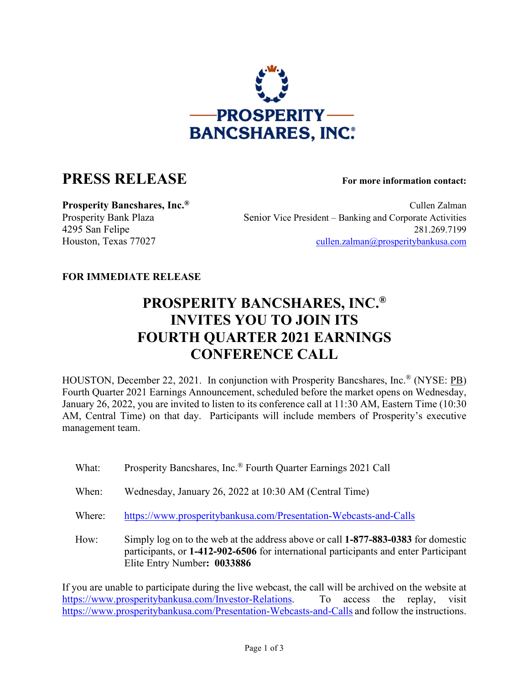

## **PRESS RELEASE For more information contact:**

**Prosperity Bancshares, Inc.<sup>®</sup> Cullen Zalman** Prosperity Bank Plaza Senior Vice President – Banking and Corporate Activities 4295 San Felipe 281.269.7199 Houston, Texas 77027 [cullen.zalman@prosperitybankusa.com](mailto:cullen.zalman@prosperitybankusa.com)

## **FOR IMMEDIATE RELEASE**

## **PROSPERITY BANCSHARES, INC.® INVITES YOU TO JOIN ITS FOURTH QUARTER 2021 EARNINGS CONFERENCE CALL**

HOUSTON, December 22, 2021. In conjunction with Prosperity Bancshares, Inc.® (NYSE: PB) Fourth Quarter 2021 Earnings Announcement, scheduled before the market opens on Wednesday, January 26, 2022, you are invited to listen to its conference call at 11:30 AM, Eastern Time (10:30 AM, Central Time) on that day. Participants will include members of Prosperity's executive management team.

- What: Prosperity Bancshares, Inc.<sup>®</sup> Fourth Quarter Earnings 2021 Call
- When: Wednesday, January 26, 2022 at 10:30 AM (Central Time)
- Where: <https://www.prosperitybankusa.com/Presentation-Webcasts-and-Calls>
- How: Simply log on to the web at the address above or call **1-877-883-0383** for domestic participants, or **1-412-902-6506** for international participants and enter Participant Elite Entry Number**: 0033886**

If you are unable to participate during the live webcast, the call will be archived on the website at [https://www.prosperitybankusa.com/Investor-Relations.](https://www.prosperitybankusa.com/Investor-Relations) To access the replay, visit <https://www.prosperitybankusa.com/Presentation-Webcasts-and-Calls> and follow the instructions.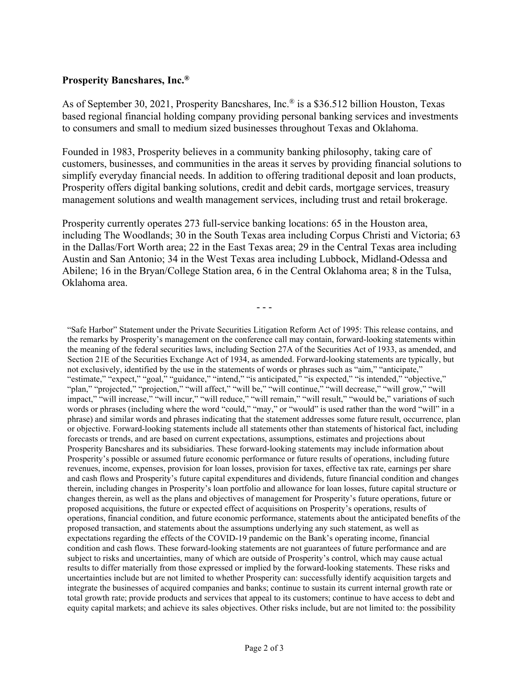## **Prosperity Bancshares, Inc.®**

As of September 30, 2021, Prosperity Bancshares, Inc.® is a \$36.512 billion Houston, Texas based regional financial holding company providing personal banking services and investments to consumers and small to medium sized businesses throughout Texas and Oklahoma.

Founded in 1983, Prosperity believes in a community banking philosophy, taking care of customers, businesses, and communities in the areas it serves by providing financial solutions to simplify everyday financial needs. In addition to offering traditional deposit and loan products, Prosperity offers digital banking solutions, credit and debit cards, mortgage services, treasury management solutions and wealth management services, including trust and retail brokerage.

Prosperity currently operates 273 full-service banking locations: 65 in the Houston area, including The Woodlands; 30 in the South Texas area including Corpus Christi and Victoria; 63 in the Dallas/Fort Worth area; 22 in the East Texas area; 29 in the Central Texas area including Austin and San Antonio; 34 in the West Texas area including Lubbock, Midland-Odessa and Abilene; 16 in the Bryan/College Station area, 6 in the Central Oklahoma area; 8 in the Tulsa, Oklahoma area.

- - -

"Safe Harbor" Statement under the Private Securities Litigation Reform Act of 1995: This release contains, and the remarks by Prosperity's management on the conference call may contain, forward-looking statements within the meaning of the federal securities laws, including Section 27A of the Securities Act of 1933, as amended, and Section 21E of the Securities Exchange Act of 1934, as amended. Forward-looking statements are typically, but not exclusively, identified by the use in the statements of words or phrases such as "aim," "anticipate," "estimate," "expect," "goal," "guidance," "intend," "is anticipated," "is expected," "is intended," "objective," "plan," "projected," "projection," "will affect," "will be," "will continue," "will decrease," "will grow," "will impact," "will increase," "will incur," "will reduce," "will remain," "will result," "would be," variations of such words or phrases (including where the word "could," "may," or "would" is used rather than the word "will" in a phrase) and similar words and phrases indicating that the statement addresses some future result, occurrence, plan or objective. Forward-looking statements include all statements other than statements of historical fact, including forecasts or trends, and are based on current expectations, assumptions, estimates and projections about Prosperity Bancshares and its subsidiaries. These forward-looking statements may include information about Prosperity's possible or assumed future economic performance or future results of operations, including future revenues, income, expenses, provision for loan losses, provision for taxes, effective tax rate, earnings per share and cash flows and Prosperity's future capital expenditures and dividends, future financial condition and changes therein, including changes in Prosperity's loan portfolio and allowance for loan losses, future capital structure or changes therein, as well as the plans and objectives of management for Prosperity's future operations, future or proposed acquisitions, the future or expected effect of acquisitions on Prosperity's operations, results of operations, financial condition, and future economic performance, statements about the anticipated benefits of the proposed transaction, and statements about the assumptions underlying any such statement, as well as expectations regarding the effects of the COVID-19 pandemic on the Bank's operating income, financial condition and cash flows. These forward-looking statements are not guarantees of future performance and are subject to risks and uncertainties, many of which are outside of Prosperity's control, which may cause actual results to differ materially from those expressed or implied by the forward-looking statements. These risks and uncertainties include but are not limited to whether Prosperity can: successfully identify acquisition targets and integrate the businesses of acquired companies and banks; continue to sustain its current internal growth rate or total growth rate; provide products and services that appeal to its customers; continue to have access to debt and equity capital markets; and achieve its sales objectives. Other risks include, but are not limited to: the possibility